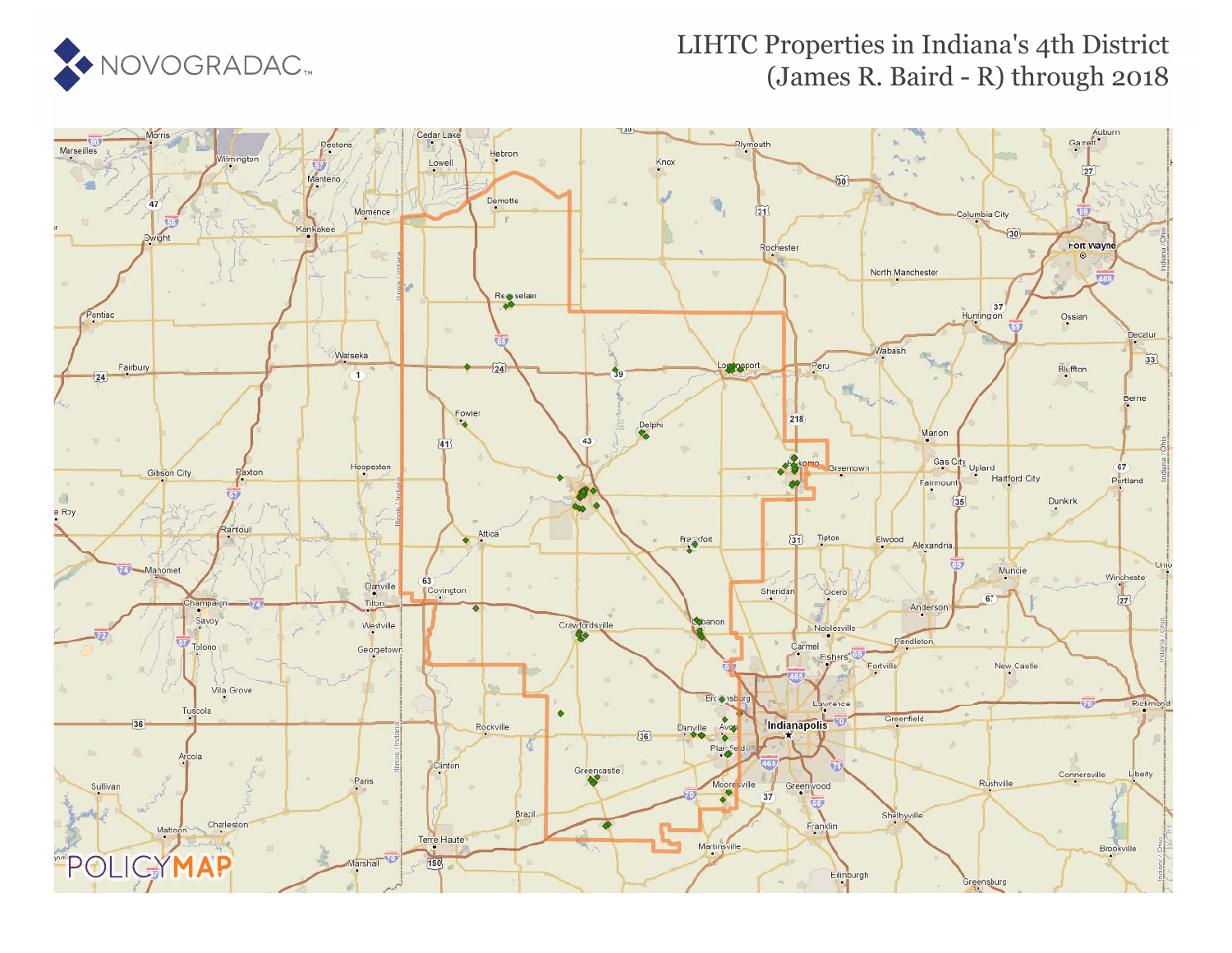

### LIHTC Properties in Indiana's 4th District (James R. Baird - R) through 2018

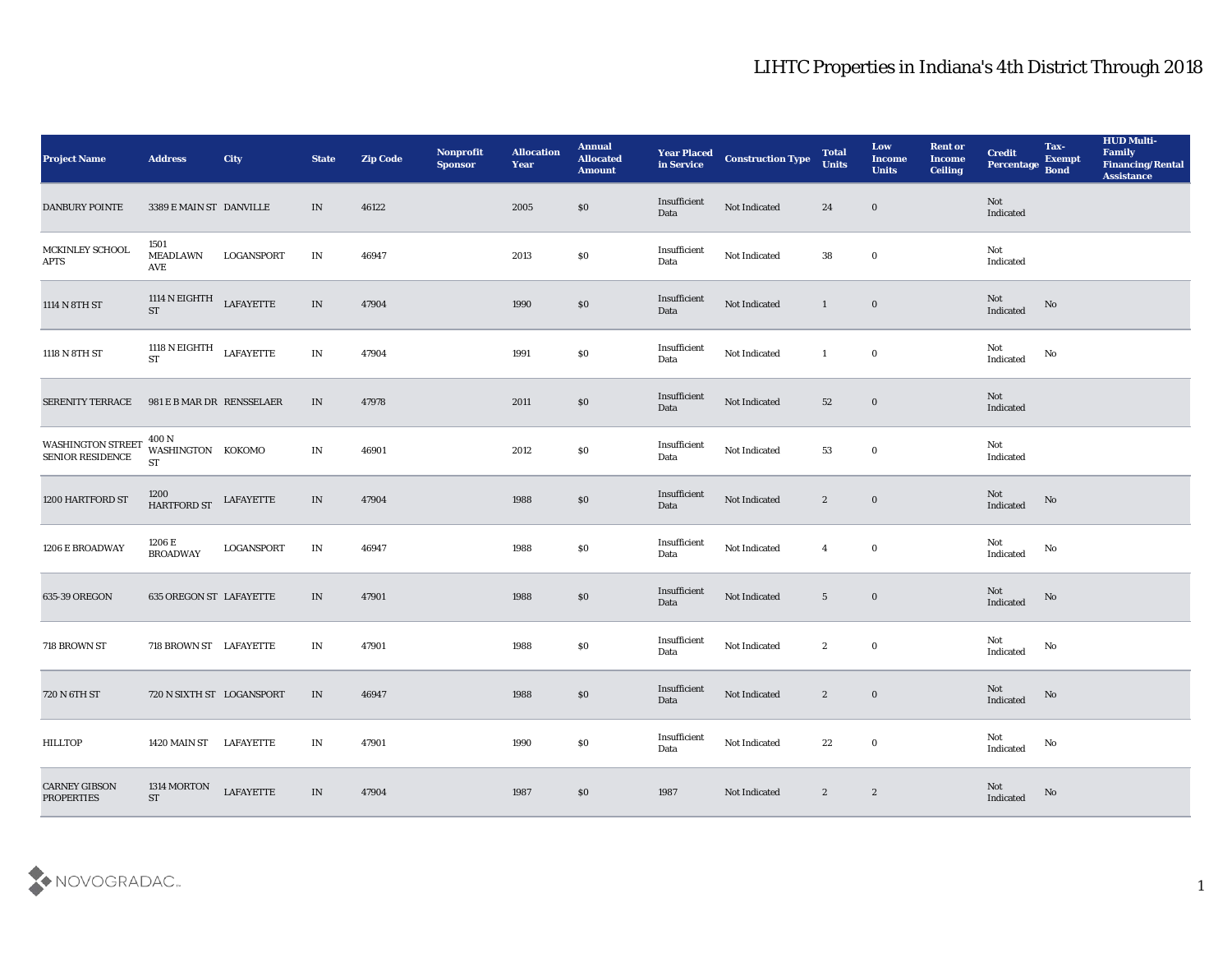| <b>Project Name</b>                          | <b>Address</b>                                                                                         | <b>City</b>       | <b>State</b>                    | <b>Zip Code</b> | Nonprofit<br><b>Sponsor</b> | <b>Allocation</b><br><b>Year</b> | <b>Annual</b><br><b>Allocated</b><br><b>Amount</b> | <b>Year Placed<br/>in Service</b> | <b>Construction Type</b> | <b>Total</b><br><b>Units</b> | Low<br><b>Income</b><br><b>Units</b> | <b>Rent or</b><br><b>Income</b><br><b>Ceiling</b> | <b>Credit</b><br>Percentage Bond      | Tax-<br><b>Exempt</b>  | <b>HUD Multi-</b><br>Family<br><b>Financing/Rental</b><br><b>Assistance</b> |
|----------------------------------------------|--------------------------------------------------------------------------------------------------------|-------------------|---------------------------------|-----------------|-----------------------------|----------------------------------|----------------------------------------------------|-----------------------------------|--------------------------|------------------------------|--------------------------------------|---------------------------------------------------|---------------------------------------|------------------------|-----------------------------------------------------------------------------|
| <b>DANBURY POINTE</b>                        | 3389 E MAIN ST DANVILLE                                                                                |                   | IN                              | 46122           |                             | 2005                             | \$0                                                | Insufficient<br>Data              | Not Indicated            | 24                           | $\bf{0}$                             |                                                   | Not<br>Indicated                      |                        |                                                                             |
| MCKINLEY SCHOOL<br><b>APTS</b>               | 1501<br>MEADLAWN<br>AVE                                                                                | LOGANSPORT        | IN                              | 46947           |                             | 2013                             | $\$0$                                              | Insufficient<br>Data              | Not Indicated            | 38                           | $\bf{0}$                             |                                                   | Not<br>Indicated                      |                        |                                                                             |
| 1114 N 8TH ST                                | 1114 N EIGHTH LAFAYETTE<br><b>ST</b>                                                                   |                   | $\ensuremath{\text{IN}}\xspace$ | 47904           |                             | 1990                             | $\$0$                                              | Insufficient<br>Data              | Not Indicated            | $\mathbf{1}$                 | $\bf{0}$                             |                                                   | Not<br>Indicated                      | $\mathbf {No}$         |                                                                             |
| 1118 N 8TH ST                                | 1118 N EIGHTH LAFAYETTE $$\tt LAFAYETTE$$                                                              |                   | $\mathbf{IN}$                   | 47904           |                             | 1991                             | $\$0$                                              | Insufficient<br>Data              | Not Indicated            | 1                            | $\bf{0}$                             |                                                   | Not<br>Indicated                      | $\mathbf{N}\mathbf{o}$ |                                                                             |
| <b>SERENITY TERRACE</b>                      | 981 E B MAR DR RENSSELAER                                                                              |                   | IN                              | 47978           |                             | 2011                             | $\$0$                                              | Insufficient<br>Data              | Not Indicated            | 52                           | $\bf{0}$                             |                                                   | Not<br>Indicated                      |                        |                                                                             |
| <b>WASHINGTON STREET</b><br>SENIOR RESIDENCE | 400 N<br>WASHINGTON KOKOMO<br><b>ST</b>                                                                |                   | IN                              | 46901           |                             | 2012                             | \$0                                                | Insufficient<br>Data              | Not Indicated            | 53                           | $\bf{0}$                             |                                                   | Not<br>Indicated                      |                        |                                                                             |
| 1200 HARTFORD ST                             | $\begin{tabular}{c} 1200 \\ HARTFORD ST \end{tabular} \begin{tabular}{l} \bf{LAFAYETTE} \end{tabular}$ |                   | IN                              | 47904           |                             | 1988                             | $\$0$                                              | Insufficient<br>Data              | Not Indicated            | $\mathbf{2}$                 | $\bf{0}$                             |                                                   | Not<br>Indicated                      | $\mathbf {No}$         |                                                                             |
| 1206 E BROADWAY                              | 1206 E<br><b>BROADWAY</b>                                                                              | <b>LOGANSPORT</b> | IN                              | 46947           |                             | 1988                             | $\$0$                                              | Insufficient<br>Data              | Not Indicated            | $\overline{4}$               | $\bf{0}$                             |                                                   | Not<br>Indicated                      | No                     |                                                                             |
| 635-39 OREGON                                | 635 OREGON ST LAFAYETTE                                                                                |                   | IN                              | 47901           |                             | 1988                             | \$0                                                | Insufficient<br>Data              | Not Indicated            | $5\overline{)}$              | $\bf{0}$                             |                                                   | Not<br>Indicated                      | No                     |                                                                             |
| 718 BROWN ST                                 | 718 BROWN ST LAFAYETTE                                                                                 |                   | IN                              | 47901           |                             | 1988                             | \$0                                                | Insufficient<br>Data              | Not Indicated            | $\mathbf{2}$                 | $\bf{0}$                             |                                                   | Not<br>Indicated                      | No                     |                                                                             |
| 720 N 6TH ST                                 | 720 N SIXTH ST LOGANSPORT                                                                              |                   | IN                              | 46947           |                             | 1988                             | $\$0$                                              | Insufficient<br>Data              | Not Indicated            | $\mathbf{2}$                 | $\bf{0}$                             |                                                   | Not<br>Indicated                      | No                     |                                                                             |
| <b>HILLTOP</b>                               | 1420 MAIN ST LAFAYETTE                                                                                 |                   | $\mathbf{IN}$                   | 47901           |                             | 1990                             | $\$0$                                              | Insufficient<br>Data              | Not Indicated            | 22                           | $\mathbf 0$                          |                                                   | Not<br>Indicated                      | $\mathbf{N}\mathbf{o}$ |                                                                             |
| <b>CARNEY GIBSON</b><br><b>PROPERTIES</b>    | 1314 MORTON<br>$\operatorname{ST}$                                                                     | <b>LAFAYETTE</b>  | $\ensuremath{\text{IN}}$        | 47904           |                             | 1987                             | $\$0$                                              | 1987                              | Not Indicated            | $\mathbf{2}$                 | $\mathbf{2}$                         |                                                   | $\operatorname{\bf Not}$<br>Indicated | $\mathbf {No}$         |                                                                             |

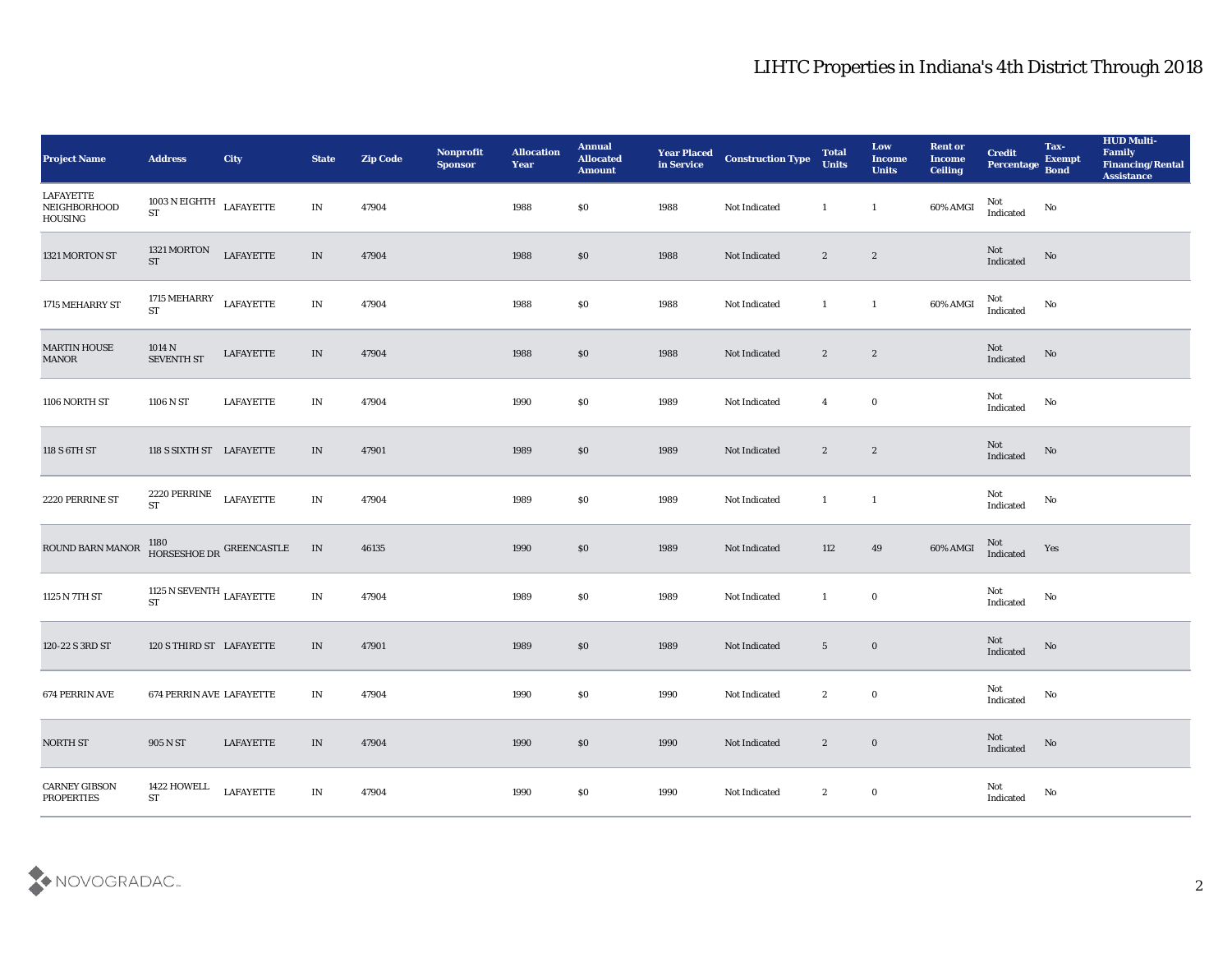| <b>Project Name</b>                       | <b>Address</b>                                           | City                     | <b>State</b>                    | <b>Zip Code</b> | Nonprofit<br><b>Sponsor</b> | <b>Allocation</b><br><b>Year</b> | <b>Annual</b><br><b>Allocated</b><br><b>Amount</b> | <b>Year Placed<br/>in Service</b> | <b>Construction Type</b> | <b>Total</b><br><b>Units</b> | Low<br><b>Income</b><br><b>Units</b> | <b>Rent or</b><br><b>Income</b><br><b>Ceiling</b> | <b>Credit</b><br>Percentage Bond                  | Tax-<br><b>Exempt</b> | <b>HUD Multi-</b><br>Family<br><b>Financing/Rental</b><br><b>Assistance</b> |
|-------------------------------------------|----------------------------------------------------------|--------------------------|---------------------------------|-----------------|-----------------------------|----------------------------------|----------------------------------------------------|-----------------------------------|--------------------------|------------------------------|--------------------------------------|---------------------------------------------------|---------------------------------------------------|-----------------------|-----------------------------------------------------------------------------|
| LAFAYETTE<br>NEIGHBORHOOD<br>HOUSING      | 1003 N EIGHTH LAFAYETTE<br><b>ST</b>                     |                          | $\ensuremath{\text{IN}}$        | 47904           |                             | 1988                             | \$0                                                | 1988                              | Not Indicated            | 1                            | $\mathbf{1}$                         | 60% AMGI                                          | Not<br>$\label{lem:indicated} \textbf{Indicated}$ | No                    |                                                                             |
| 1321 MORTON ST                            | 1321 MORTON<br><b>ST</b>                                 | <b>LAFAYETTE</b>         | $\ensuremath{\text{IN}}$        | 47904           |                             | 1988                             | \$0                                                | 1988                              | Not Indicated            | $\mathbf{2}$                 | $\mathbf{2}$                         |                                                   | Not<br>Indicated                                  | No                    |                                                                             |
| 1715 MEHARRY ST                           | 1715 MEHARRY<br><b>ST</b>                                | <b>LAFAYETTE</b>         | $\ensuremath{\text{IN}}\xspace$ | 47904           |                             | 1988                             | \$0                                                | 1988                              | Not Indicated            | $\mathbf{1}$                 | $\mathbf{1}$                         | 60% AMGI                                          | Not<br>Indicated                                  | No                    |                                                                             |
| <b>MARTIN HOUSE</b><br><b>MANOR</b>       | 1014 N<br><b>SEVENTH ST</b>                              | LAFAYETTE                | $\;$ IN                         | 47904           |                             | 1988                             | \$0                                                | 1988                              | Not Indicated            | $\mathbf{2}$                 | $\boldsymbol{2}$                     |                                                   | Not<br>Indicated                                  | No                    |                                                                             |
| 1106 NORTH ST                             | 1106 N ST                                                | <b>LAFAYETTE</b>         | IN                              | 47904           |                             | 1990                             | \$0                                                | 1989                              | Not Indicated            | $\overline{4}$               | $\bf{0}$                             |                                                   | Not<br>Indicated                                  | No                    |                                                                             |
| 118 S 6TH ST                              | 118 S SIXTH ST LAFAYETTE                                 |                          | IN                              | 47901           |                             | 1989                             | \$0                                                | 1989                              | Not Indicated            | $\mathbf{2}$                 | $\mathbf{2}$                         |                                                   | Not<br>$\label{lem:indicated} \textbf{Indicated}$ | No                    |                                                                             |
| 2220 PERRINE ST                           | 2220 PERRINE<br>$\operatorname{ST}$                      | <b>LAFAYETTE</b>         | IN                              | 47904           |                             | 1989                             | \$0                                                | 1989                              | Not Indicated            | $\mathbf{1}$                 | $\overline{1}$                       |                                                   | Not<br>Indicated                                  | No                    |                                                                             |
| ROUND BARN MANOR                          |                                                          | HORSESHOE DR GREENCASTLE | IN                              | 46135           |                             | 1990                             | \$0                                                | 1989                              | Not Indicated            | 112                          | 49                                   | $60\%$ AMGI                                       | Not<br>Indicated                                  | Yes                   |                                                                             |
| 1125 N 7TH ST                             | 1125 N SEVENTH $_{\rm LAFAYETTE}$<br>$\operatorname{ST}$ |                          | $\ensuremath{\text{IN}}$        | 47904           |                             | 1989                             | $\$0$                                              | 1989                              | Not Indicated            | 1                            | $\bf{0}$                             |                                                   | Not<br>Indicated                                  | $\rm No$              |                                                                             |
| 120-22 S 3RD ST                           | 120 S THIRD ST LAFAYETTE                                 |                          | IN                              | 47901           |                             | 1989                             | \$0                                                | 1989                              | Not Indicated            | $5\overline{)}$              | $\bf{0}$                             |                                                   | Not<br>Indicated                                  | No                    |                                                                             |
| 674 PERRIN AVE                            | 674 PERRIN AVE LAFAYETTE                                 |                          | IN                              | 47904           |                             | 1990                             | \$0                                                | 1990                              | Not Indicated            | $\boldsymbol{2}$             | $\bf{0}$                             |                                                   | Not<br>$\operatorname{Indicated}$                 | No                    |                                                                             |
| NORTH ST                                  | 905 N ST                                                 | LAFAYETTE                | $\;$ IN                         | 47904           |                             | 1990                             | $\$0$                                              | 1990                              | Not Indicated            | $\boldsymbol{2}$             | $\bf{0}$                             |                                                   | Not<br>Indicated                                  | $\rm No$              |                                                                             |
| <b>CARNEY GIBSON</b><br><b>PROPERTIES</b> | 1422 HOWELL<br>${\cal S}{\cal T}$                        | <b>LAFAYETTE</b>         | IN                              | 47904           |                             | 1990                             | $\$0$                                              | 1990                              | Not Indicated            | $\boldsymbol{2}$             | $\bf{0}$                             |                                                   | Not<br>$\operatorname{Indicated}$                 | No                    |                                                                             |

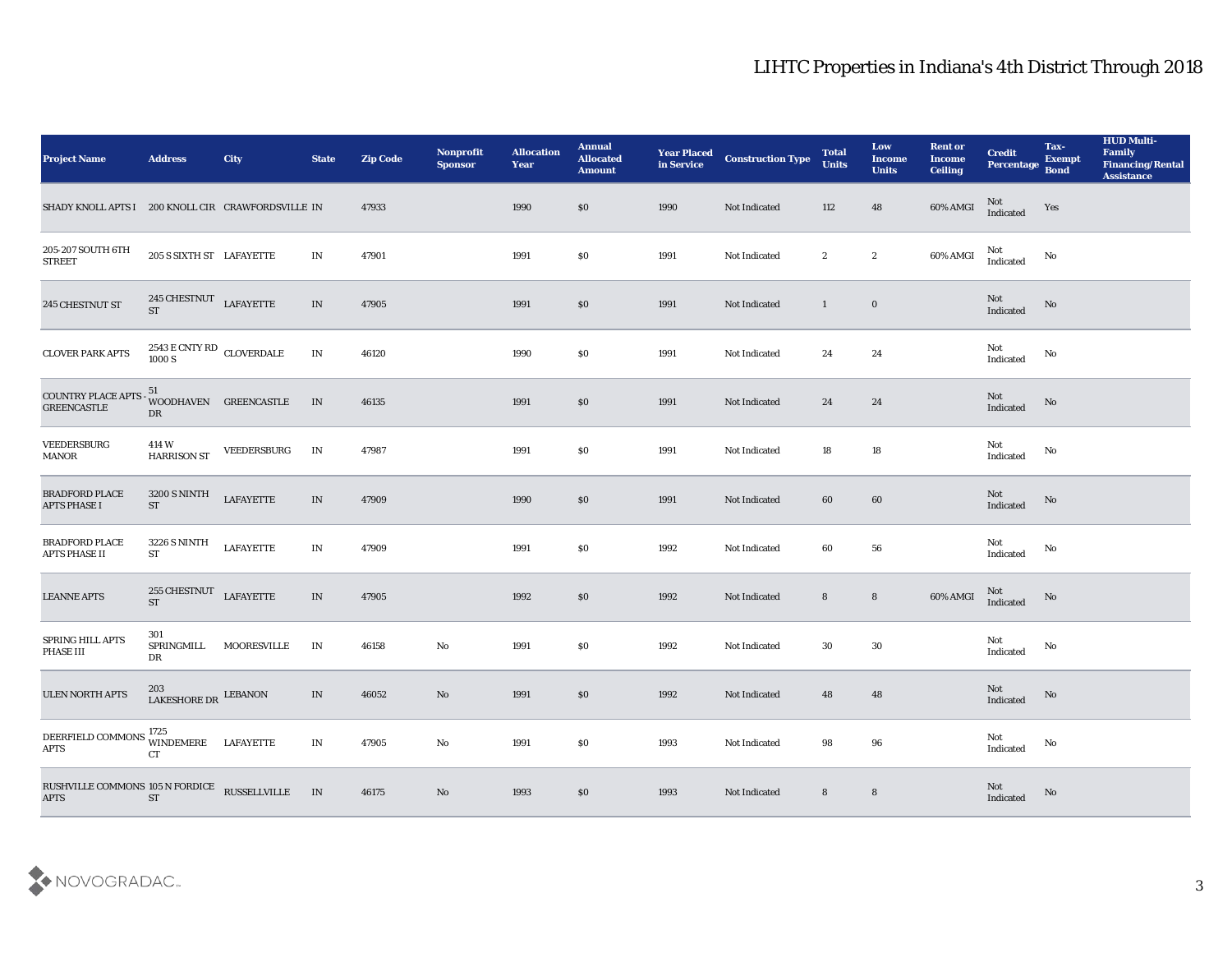| <b>Project Name</b>                                                                                                 | <b>Address</b>                                                      | City                  | <b>State</b>             | <b>Zip Code</b> | Nonprofit<br><b>Sponsor</b> | <b>Allocation</b><br><b>Year</b> | <b>Annual</b><br><b>Allocated</b><br><b>Amount</b> | <b>Year Placed</b><br>in Service | <b>Construction Type</b> | <b>Total</b><br><b>Units</b> | Low<br><b>Income</b><br><b>Units</b> | <b>Rent or</b><br><b>Income</b><br><b>Ceiling</b> | <b>Credit</b><br>Percentage Bond  | Tax-<br><b>Exempt</b> | <b>HUD Multi-</b><br>Family<br><b>Financing/Rental</b><br><b>Assistance</b> |
|---------------------------------------------------------------------------------------------------------------------|---------------------------------------------------------------------|-----------------------|--------------------------|-----------------|-----------------------------|----------------------------------|----------------------------------------------------|----------------------------------|--------------------------|------------------------------|--------------------------------------|---------------------------------------------------|-----------------------------------|-----------------------|-----------------------------------------------------------------------------|
| SHADY KNOLL APTS I 200 KNOLL CIR CRAWFORDSVILLE IN                                                                  |                                                                     |                       |                          | 47933           |                             | 1990                             | \$0                                                | 1990                             | Not Indicated            | 112                          | 48                                   | 60% AMGI                                          | Not<br>Indicated                  | Yes                   |                                                                             |
| 205-207 SOUTH 6TH<br><b>STREET</b>                                                                                  | 205 S SIXTH ST LAFAYETTE                                            |                       | IN                       | 47901           |                             | 1991                             | \$0                                                | 1991                             | Not Indicated            | $\boldsymbol{2}$             | $\boldsymbol{2}$                     | 60% AMGI                                          | Not<br>Indicated                  | No                    |                                                                             |
| 245 CHESTNUT ST                                                                                                     | $245$ CHESTNUT $\rm~LAFAYETTE$<br><b>ST</b>                         |                       | IN                       | 47905           |                             | 1991                             | \$0                                                | 1991                             | Not Indicated            | $\mathbf{1}$                 | $\bf{0}$                             |                                                   | Not<br>Indicated                  | No                    |                                                                             |
| <b>CLOVER PARK APTS</b>                                                                                             | $2543\,\mathrm{E}\,\mathrm{CNTY}\,\mathrm{RD}$ CLOVERDALE<br>1000 S |                       | IN                       | 46120           |                             | 1990                             | \$0                                                | 1991                             | Not Indicated            | 24                           | 24                                   |                                                   | Not<br>$\operatorname{Indicated}$ | No                    |                                                                             |
| COUNTRY PLACE APTS<br><b>GREENCASTLE</b>                                                                            | 51<br>DR                                                            | WOODHAVEN GREENCASTLE | IN                       | 46135           |                             | 1991                             | \$0                                                | 1991                             | Not Indicated            | 24                           | 24                                   |                                                   | Not<br>Indicated                  | No                    |                                                                             |
| VEEDERSBURG<br><b>MANOR</b>                                                                                         | 414 W<br><b>HARRISON ST</b>                                         | VEEDERSBURG           | IN                       | 47987           |                             | 1991                             | \$0                                                | 1991                             | Not Indicated            | 18                           | 18                                   |                                                   | Not<br>Indicated                  | No                    |                                                                             |
| <b>BRADFORD PLACE</b><br><b>APTS PHASE I</b>                                                                        | <b>3200 S NINTH</b><br><b>ST</b>                                    | <b>LAFAYETTE</b>      | $\ensuremath{\text{IN}}$ | 47909           |                             | 1990                             | \$0                                                | 1991                             | Not Indicated            | 60                           | 60                                   |                                                   | Not<br>Indicated                  | No                    |                                                                             |
| <b>BRADFORD PLACE</b><br><b>APTS PHASE II</b>                                                                       | <b>3226 S NINTH</b><br><b>ST</b>                                    | <b>LAFAYETTE</b>      | IN                       | 47909           |                             | 1991                             | \$0                                                | 1992                             | Not Indicated            | 60                           | 56                                   |                                                   | Not<br>Indicated                  | No                    |                                                                             |
| <b>LEANNE APTS</b>                                                                                                  | 255 CHESTNUT<br><b>ST</b>                                           | <b>LAFAYETTE</b>      | IN                       | 47905           |                             | 1992                             | \$0                                                | 1992                             | Not Indicated            | 8                            | $8\phantom{1}$                       | 60% AMGI                                          | $\rm Not$ Indicated               | No                    |                                                                             |
| SPRING HILL APTS<br>PHASE III                                                                                       | 301<br>SPRINGMILL<br>DR                                             | MOORESVILLE           | IN                       | 46158           | $\rm\thinspace No$          | 1991                             | \$0                                                | 1992                             | Not Indicated            | 30                           | 30                                   |                                                   | Not<br>Indicated                  | No                    |                                                                             |
| <b>ULEN NORTH APTS</b>                                                                                              | 203<br>LAKESHORE DR LEBANON                                         |                       | IN                       | 46052           | No                          | 1991                             | \$0                                                | 1992                             | Not Indicated            | 48                           | 48                                   |                                                   | Not<br>Indicated                  | No                    |                                                                             |
| DEERFIELD COMMONS $\begin{array}{ll}\n\text{WINDER} & \text{LAFAYETTE} \\ \text{ATTS} & \text{OT} \\ \end{array}$   | CT                                                                  |                       | $\mathbf{IN}$            | 47905           | $\rm\thinspace No$          | 1991                             | $\$0$                                              | 1993                             | Not Indicated            | 98                           | $\bf 96$                             |                                                   | Not<br>Indicated                  | No                    |                                                                             |
| ${\begin{tabular}{ll} \bf RUSHVLLE \end{tabular}} {\begin{tabular}{ll} \bf RUSSELLVILLE \\ \bf APTS \end{tabular}}$ |                                                                     |                       | IN                       | 46175           | No                          | 1993                             | \$0                                                | 1993                             | Not Indicated            | $\bf 8$                      | $8\phantom{1}$                       |                                                   | Not<br>Indicated                  | $\rm No$              |                                                                             |

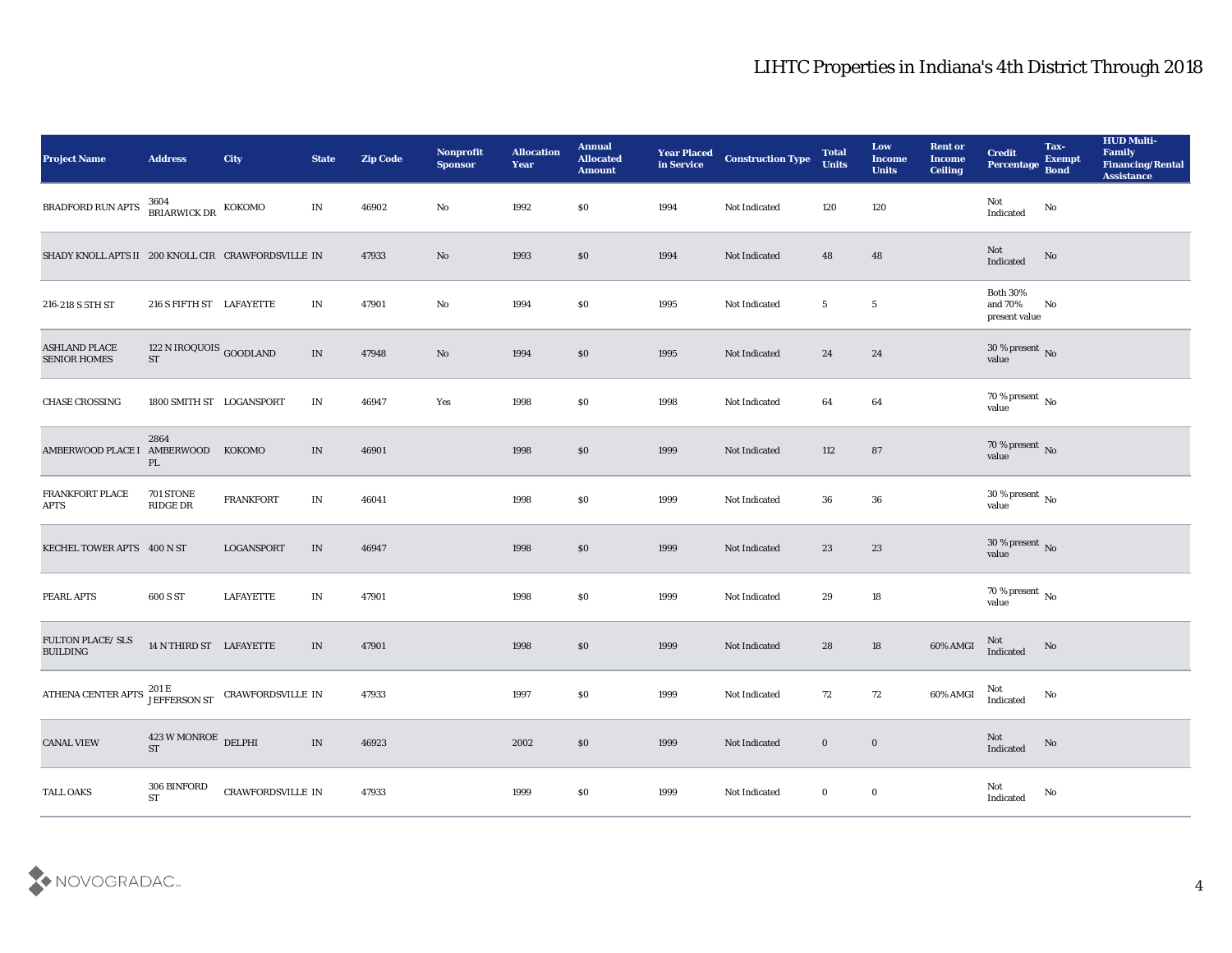| Project Name                                                        | <b>Address</b>                          | City              | <b>State</b>                      | <b>Zip Code</b> | Nonprofit<br><b>Sponsor</b> | <b>Allocation</b><br><b>Year</b> | <b>Annual</b><br><b>Allocated</b><br><b>Amount</b> | <b>Year Placed</b><br>in Service | <b>Construction Type</b> | <b>Total</b><br><b>Units</b> | Low<br><b>Income</b><br><b>Units</b> | <b>Rent or</b><br><b>Income</b><br><b>Ceiling</b> | <b>Credit</b><br>Percentage                 | Tax-<br><b>Exempt</b><br><b>Bond</b> | <b>HUD Multi-</b><br>Family<br><b>Financing/Rental</b><br><b>Assistance</b> |
|---------------------------------------------------------------------|-----------------------------------------|-------------------|-----------------------------------|-----------------|-----------------------------|----------------------------------|----------------------------------------------------|----------------------------------|--------------------------|------------------------------|--------------------------------------|---------------------------------------------------|---------------------------------------------|--------------------------------------|-----------------------------------------------------------------------------|
| BRADFORD RUN APTS                                                   | 3604<br>BRIARWICK DR KOKOMO             |                   | IN                                | 46902           | No                          | 1992                             | \$0                                                | 1994                             | Not Indicated            | 120                          | 120                                  |                                                   | Not<br>$\operatorname{Indicated}$           | No                                   |                                                                             |
| SHADY KNOLL APTS II 200 KNOLL CIR CRAWFORDSVILLE IN                 |                                         |                   |                                   | 47933           | No                          | 1993                             | \$0                                                | 1994                             | Not Indicated            | 48                           | 48                                   |                                                   | Not<br>Indicated                            | No                                   |                                                                             |
| 216-218 S 5TH ST                                                    | 216 S FIFTH ST LAFAYETTE                |                   | IN                                | 47901           | No                          | 1994                             | \$0                                                | 1995                             | <b>Not Indicated</b>     | $5\phantom{.0}$              | $5\phantom{.0}$                      |                                                   | <b>Both 30%</b><br>and 70%<br>present value | No                                   |                                                                             |
| <b>ASHLAND PLACE</b><br><b>SENIOR HOMES</b>                         | $122$ N IROQUOIS $_{\rm GOODLAND}$ $\,$ |                   | $\ensuremath{\text{IN}}$          | 47948           | $\mathbf{N}\mathbf{o}$      | 1994                             | \$0                                                | 1995                             | Not Indicated            | 24                           | 24                                   |                                                   | $30\,\%$ present $\,$ No value              |                                      |                                                                             |
| <b>CHASE CROSSING</b>                                               | 1800 SMITH ST LOGANSPORT                |                   | IN                                | 46947           | Yes                         | 1998                             | \$0                                                | 1998                             | Not Indicated            | 64                           | 64                                   |                                                   | $70\,\%$ present $\,$ No value              |                                      |                                                                             |
| AMBERWOOD PLACE I AMBERWOOD KOKOMO                                  | 2864<br>PL                              |                   | IN                                | 46901           |                             | 1998                             | \$0                                                | 1999                             | Not Indicated            | 112                          | 87                                   |                                                   | $70\,\%$ present $\,$ No value              |                                      |                                                                             |
| FRANKFORT PLACE<br>APTS                                             | 701 STONE<br><b>RIDGE DR</b>            | <b>FRANKFORT</b>  | IN                                | 46041           |                             | 1998                             | \$0                                                | 1999                             | Not Indicated            | 36                           | 36                                   |                                                   | $30\,\%$ present $\,$ No value              |                                      |                                                                             |
| KECHEL TOWER APTS 400 N ST                                          |                                         | <b>LOGANSPORT</b> | $\text{IN}{}$                     | 46947           |                             | 1998                             | $\$0$                                              | 1999                             | Not Indicated            | 23                           | 23                                   |                                                   | $30\,\%$ present $\,$ No value              |                                      |                                                                             |
| PEARL APTS                                                          | 600 S ST                                | <b>LAFAYETTE</b>  | $\mathbf{IN}$                     | 47901           |                             | 1998                             | \$0                                                | 1999                             | Not Indicated            | 29                           | 18                                   |                                                   | $70\,\%$ present $\,$ No value              |                                      |                                                                             |
| FULTON PLACE/ SLS<br><b>BUILDING</b>                                | 14 N THIRD ST LAFAYETTE                 |                   | IN                                | 47901           |                             | 1998                             | \$0                                                | 1999                             | Not Indicated            | 28                           | 18                                   | 60% AMGI                                          | Not<br>Indicated                            | No                                   |                                                                             |
| ATHENA CENTER APTS $^{201}_{\text{LEFFERSON ST}}$ CRAWFORDSVILLE IN |                                         |                   |                                   | 47933           |                             | 1997                             | \$0                                                | 1999                             | Not Indicated            | 72                           | 72                                   | 60% AMGI                                          | Not<br>Indicated                            | No                                   |                                                                             |
| <b>CANAL VIEW</b>                                                   | $423$ W MONROE $\,$ DELPHI ST           |                   | $\ensuremath{\text{\textbf{IN}}}$ | 46923           |                             | 2002                             | $\$0$                                              | 1999                             | Not Indicated            | $\mathbf{0}$                 | $\bf{0}$                             |                                                   | Not<br>Indicated                            | $\rm \bf No$                         |                                                                             |
| TALL OAKS                                                           | 306 BINFORD<br>$\operatorname{ST}$      | CRAWFORDSVILLE IN |                                   | 47933           |                             | 1999                             | $\$0$                                              | 1999                             | Not Indicated            | $\bf{0}$                     | $\bf{0}$                             |                                                   | Not<br>Indicated                            | $\rm\thinspace No$                   |                                                                             |

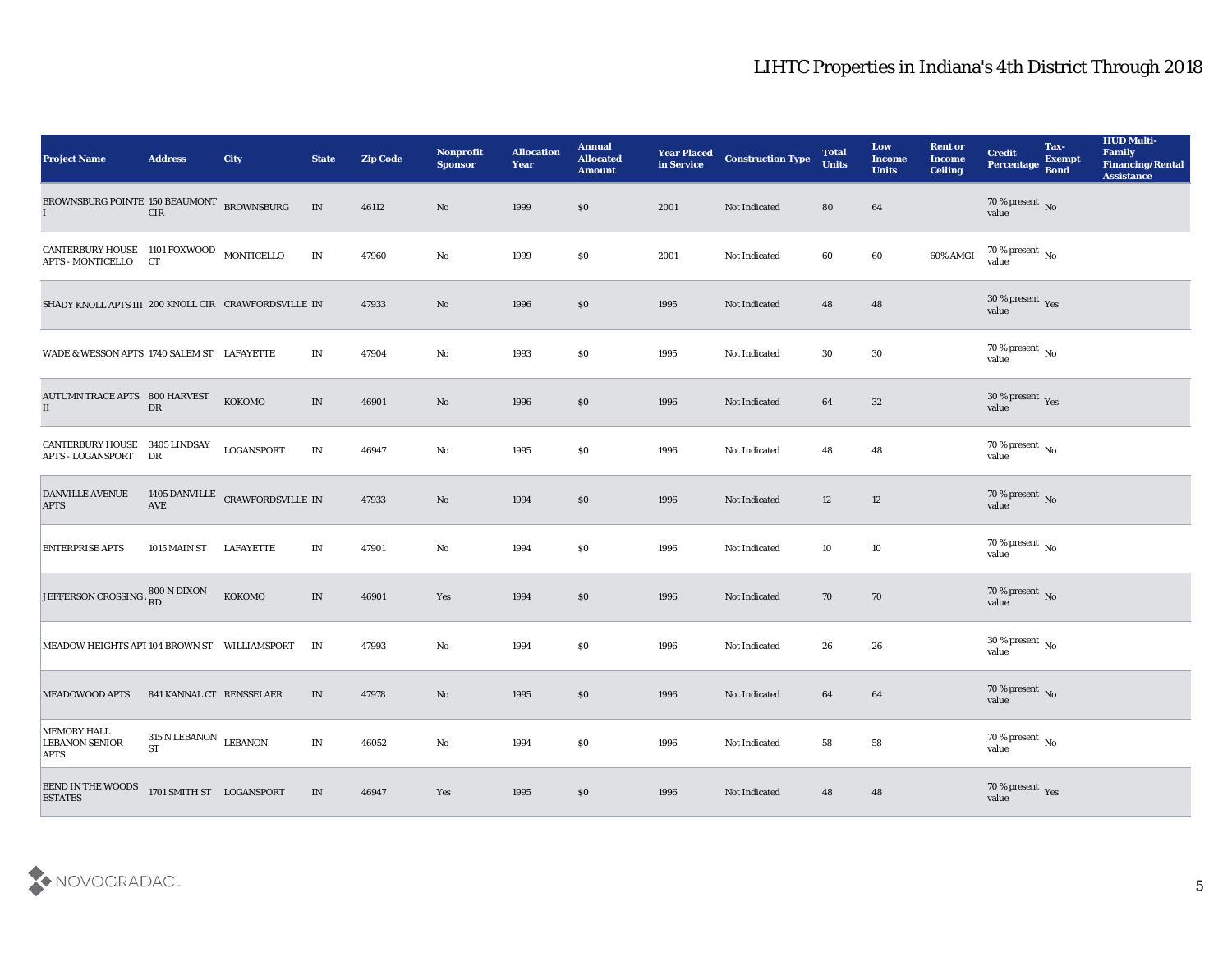| <b>Project Name</b>                                              | <b>Address</b>                                 | City                            | <b>State</b>                    | <b>Zip Code</b> | Nonprofit<br><b>Sponsor</b> | <b>Allocation</b><br>Year | <b>Annual</b><br><b>Allocated</b><br><b>Amount</b> | <b>Year Placed</b><br>in Service | <b>Construction Type</b> | <b>Total</b><br><b>Units</b> | Low<br><b>Income</b><br><b>Units</b> | <b>Rent or</b><br><b>Income</b><br><b>Ceiling</b> | <b>Credit</b><br>Percentage     | Tax-<br><b>Exempt</b><br><b>Bond</b> | <b>HUD Multi-</b><br>Family<br><b>Financing/Rental</b><br><b>Assistance</b> |
|------------------------------------------------------------------|------------------------------------------------|---------------------------------|---------------------------------|-----------------|-----------------------------|---------------------------|----------------------------------------------------|----------------------------------|--------------------------|------------------------------|--------------------------------------|---------------------------------------------------|---------------------------------|--------------------------------------|-----------------------------------------------------------------------------|
| BROWNSBURG POINTE 150 BEAUMONT BROWNSBURG                        | CIR                                            |                                 | IN                              | 46112           | $\mathbf{N}\mathbf{o}$      | 1999                      | $\$0$                                              | 2001                             | Not Indicated            | 80                           | 64                                   |                                                   | $70\,\%$ present $\,$ No value  |                                      |                                                                             |
| CANTERBURY HOUSE 1101 FOXWOOD MONTICELLO<br>APTS - MONTICELLO CT |                                                |                                 | $\ensuremath{\text{IN}}$        | 47960           | No                          | 1999                      | \$0                                                | 2001                             | Not Indicated            | 60                           | 60                                   | 60% AMGI                                          | $70\,\%$ present $\,$ No value  |                                      |                                                                             |
| SHADY KNOLL APTS III 200 KNOLL CIR CRAWFORDSVILLE IN             |                                                |                                 |                                 | 47933           | No                          | 1996                      | \$0                                                | 1995                             | Not Indicated            | 48                           | 48                                   |                                                   | $30\,\%$ present $\,$ Yes value |                                      |                                                                             |
| WADE & WESSON APTS 1740 SALEM ST LAFAYETTE                       |                                                |                                 | IN                              | 47904           | No                          | 1993                      | \$0                                                | 1995                             | Not Indicated            | 30                           | 30                                   |                                                   | $70\,\%$ present $\,$ No value  |                                      |                                                                             |
| <b>AUTUMN TRACE APTS 800 HARVEST</b><br>$\rm II$                 | ${\rm DR}$                                     | кокомо                          | IN                              | 46901           | $\mathbf{N}\mathbf{o}$      | 1996                      | $\$0$                                              | 1996                             | Not Indicated            | 64                           | 32                                   |                                                   | $30\,\%$ present $\,$ Yes value |                                      |                                                                             |
| CANTERBURY HOUSE 3405 LINDSAY<br><b>APTS - LOGANSPORT</b>        | DR                                             | <b>LOGANSPORT</b>               | $\mathbf{IN}$                   | 46947           | $\mathbf{No}$               | 1995                      | \$0                                                | 1996                             | Not Indicated            | 48                           | 48                                   |                                                   | $70\,\%$ present $\,$ No value  |                                      |                                                                             |
| DANVILLE AVENUE<br><b>APTS</b>                                   | AVE                                            | 1405 DANVILLE CRAWFORDSVILLE IN |                                 | 47933           | $\mathbf{N}\mathbf{o}$      | 1994                      | $\$0$                                              | 1996                             | Not Indicated            | 12                           | 12                                   |                                                   | $70\,\%$ present $\,$ No value  |                                      |                                                                             |
| <b>ENTERPRISE APTS</b>                                           | 1015 MAIN ST                                   | <b>LAFAYETTE</b>                | IN                              | 47901           | $\mathbf{No}$               | 1994                      | \$0                                                | 1996                             | Not Indicated            | 10                           | 10                                   |                                                   | $70\,\%$ present $\,$ No value  |                                      |                                                                             |
| JEFFERSON CROSSING.                                              | $800$ N DIXON $\rm \dot{R}D$                   | KOKOMO                          | IN                              | 46901           | Yes                         | 1994                      | $\$0$                                              | 1996                             | Not Indicated            | 70                           | 70                                   |                                                   | $70\,\%$ present $\,$ No value  |                                      |                                                                             |
| MEADOW HEIGHTS APT 104 BROWN ST WILLIAMSPORT                     |                                                |                                 | IN                              | 47993           | No                          | 1994                      | \$0                                                | 1996                             | Not Indicated            | 26                           | 26                                   |                                                   | $30\,\%$ present $\,$ No value  |                                      |                                                                             |
| <b>MEADOWOOD APTS</b>                                            | 841 KANNAL CT RENSSELAER                       |                                 | IN                              | 47978           | No                          | 1995                      | \$0\$                                              | 1996                             | Not Indicated            | 64                           | 64                                   |                                                   | $70\,\%$ present $\,$ No value  |                                      |                                                                             |
| MEMORY HALL<br><b>LEBANON SENIOR</b><br><b>APTS</b>              | $315$ N LEBANON $\,$ LEBANON $\,$<br><b>ST</b> |                                 | $\mathbf{IN}$                   | 46052           | $\mathbf {No}$              | 1994                      | $\$0$                                              | 1996                             | Not Indicated            | 58                           | ${\bf 58}$                           |                                                   | $70\,\%$ present $\,$ No value  |                                      |                                                                             |
| BEND IN THE WOODS ESTATES                                        | 1701 SMITH ST LOGANSPORT                       |                                 | $\ensuremath{\text{IN}}\xspace$ | 46947           | $\mathbf{Yes}$              | 1995                      | $\$0$                                              | 1996                             | Not Indicated            | 48                           | 48                                   |                                                   | $70\,\%$ present $\,$ Yes value |                                      |                                                                             |

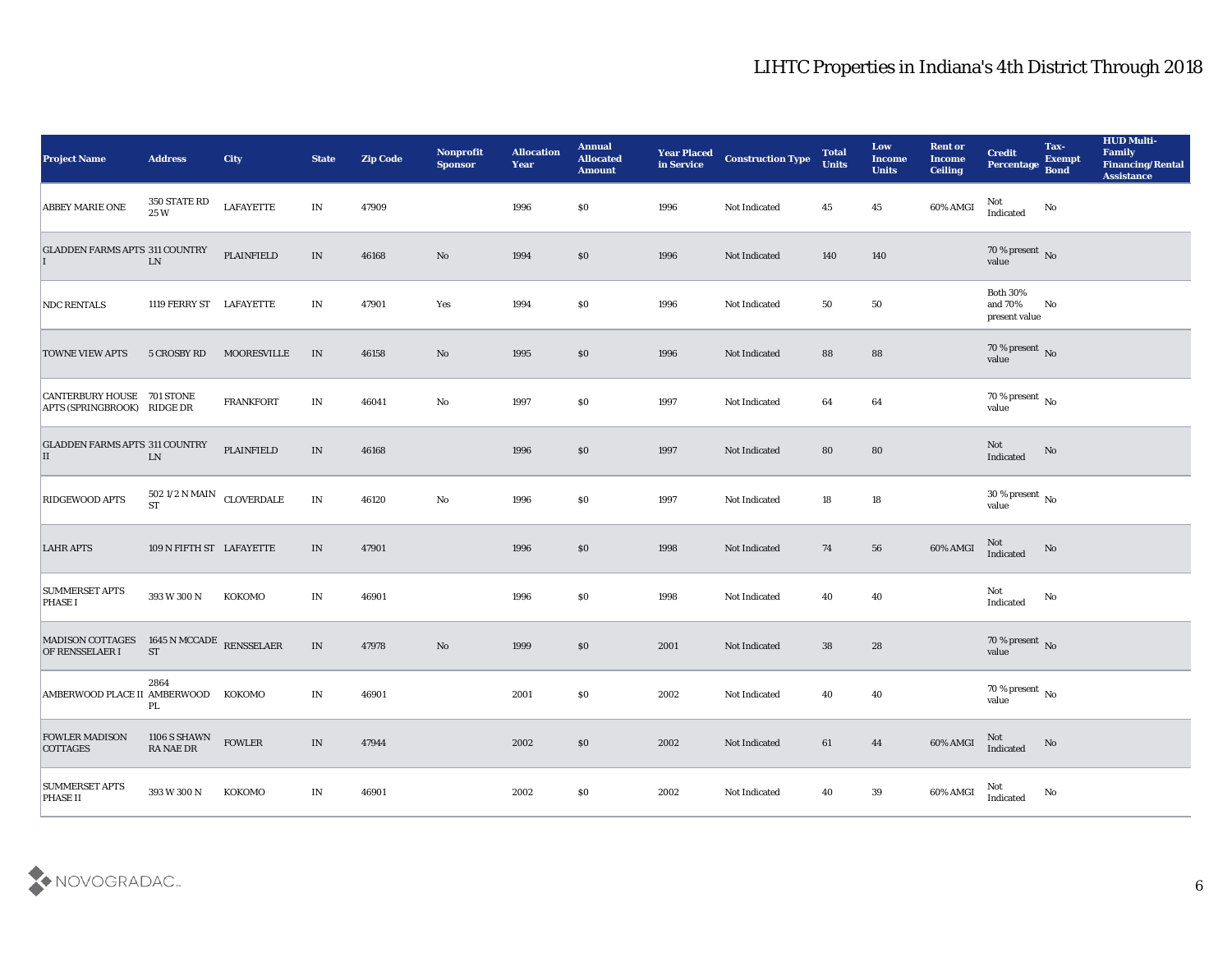| <b>Project Name</b>                                              | <b>Address</b>                         | <b>City</b>        | <b>State</b>                    | <b>Zip Code</b> | Nonprofit<br><b>Sponsor</b> | <b>Allocation</b><br><b>Year</b> | <b>Annual</b><br><b>Allocated</b><br><b>Amount</b> | <b>Year Placed<br/>in Service</b> | <b>Construction Type</b> | <b>Total</b><br><b>Units</b> | Low<br>Income<br><b>Units</b> | <b>Rent or</b><br><b>Income</b><br><b>Ceiling</b> | <b>Credit</b><br>Percentage Bond            | Tax-<br><b>Exempt</b> | <b>HUD Multi-</b><br>Family<br><b>Financing/Rental</b><br><b>Assistance</b> |
|------------------------------------------------------------------|----------------------------------------|--------------------|---------------------------------|-----------------|-----------------------------|----------------------------------|----------------------------------------------------|-----------------------------------|--------------------------|------------------------------|-------------------------------|---------------------------------------------------|---------------------------------------------|-----------------------|-----------------------------------------------------------------------------|
| ABBEY MARIE ONE                                                  | 350 STATE RD<br>$25~\mathrm{W}$        | <b>LAFAYETTE</b>   | IN                              | 47909           |                             | 1996                             | \$0                                                | 1996                              | Not Indicated            | 45                           | 45                            | 60% AMGI                                          | Not<br>Indicated                            | No                    |                                                                             |
| <b>GLADDEN FARMS APTS 311 COUNTRY</b>                            | ${\rm LN}$                             | <b>PLAINFIELD</b>  | IN                              | 46168           | No                          | 1994                             | \$0                                                | 1996                              | Not Indicated            | 140                          | 140                           |                                                   | $70\,\%$ present $\,$ No value              |                       |                                                                             |
| <b>NDC RENTALS</b>                                               | 1119 FERRY ST LAFAYETTE                |                    | IN                              | 47901           | Yes                         | 1994                             | \$0                                                | 1996                              | Not Indicated            | 50                           | 50                            |                                                   | <b>Both 30%</b><br>and 70%<br>present value | No                    |                                                                             |
| <b>TOWNE VIEW APTS</b>                                           | 5 CROSBY RD                            | <b>MOORESVILLE</b> | IN                              | 46158           | No                          | 1995                             | \$0                                                | 1996                              | Not Indicated            | 88                           | 88                            |                                                   | $70\,\%$ present $\,$ No value              |                       |                                                                             |
| <b>CANTERBURY HOUSE 701 STONE</b><br>APTS (SPRINGBROOK) RIDGE DR |                                        | <b>FRANKFORT</b>   | IN                              | 46041           | $\mathbf{N}\mathbf{o}$      | 1997                             | \$0                                                | 1997                              | Not Indicated            | 64                           | 64                            |                                                   | $70\,\%$ present $\,$ No value              |                       |                                                                             |
| <b>GLADDEN FARMS APTS 311 COUNTRY</b><br>$\vert$ II              | ${\rm LN}$                             | PLAINFIELD         | IN                              | 46168           |                             | 1996                             | \$0                                                | 1997                              | Not Indicated            | 80                           | 80                            |                                                   | Not<br>Indicated                            | No                    |                                                                             |
| <b>RIDGEWOOD APTS</b>                                            | 502 1/2 N MAIN CLOVERDALE<br><b>ST</b> |                    | IN                              | 46120           | No                          | 1996                             | \$0                                                | 1997                              | Not Indicated            | 18                           | 18                            |                                                   | $30\,\%$ present $\,$ No value              |                       |                                                                             |
| <b>LAHR APTS</b>                                                 | 109 N FIFTH ST LAFAYETTE               |                    | IN                              | 47901           |                             | 1996                             | \$0                                                | 1998                              | Not Indicated            | 74                           | 56                            | 60% AMGI                                          | Not<br>Indicated                            | No                    |                                                                             |
| <b>SUMMERSET APTS</b><br><b>PHASE I</b>                          | 393 W 300 N                            | KOKOMO             | $\mathbf{IN}$                   | 46901           |                             | 1996                             | \$0                                                | 1998                              | Not Indicated            | 40                           | 40                            |                                                   | Not<br>Indicated                            | No                    |                                                                             |
| MADISON COTTAGES<br>OF RENSSELAER I                              | 1645 N MCCADE RENSSELAER<br><b>ST</b>  |                    | $\ensuremath{\text{IN}}\xspace$ | 47978           | $\mathbf{N}\mathbf{o}$      | 1999                             | \$0                                                | 2001                              | Not Indicated            | 38                           | 28                            |                                                   | $70\,\%$ present $\,$ No value              |                       |                                                                             |
| AMBERWOOD PLACE II AMBERWOOD KOKOMO                              | 2864<br>PL                             |                    | IN                              | 46901           |                             | 2001                             | \$0                                                | 2002                              | Not Indicated            | 40                           | 40                            |                                                   | $70\,\%$ present $\,$ No value              |                       |                                                                             |
| <b>FOWLER MADISON</b><br><b>COTTAGES</b>                         | 1106 S SHAWN<br>RA NAE DR              | <b>FOWLER</b>      | $\ensuremath{\text{IN}}\xspace$ | 47944           |                             | 2002                             | $\$0$                                              | 2002                              | Not Indicated            | $\bf{61}$                    | 44                            | 60% AMGI                                          | Not<br>Indicated                            | No                    |                                                                             |
| <b>SUMMERSET APTS</b><br><b>PHASE II</b>                         | 393 W 300 N                            | KOKOMO             | IN                              | 46901           |                             | 2002                             | \$0                                                | 2002                              | Not Indicated            | 40                           | $39\,$                        | 60% AMGI                                          | Not<br>Indicated                            | $\rm\thinspace No$    |                                                                             |

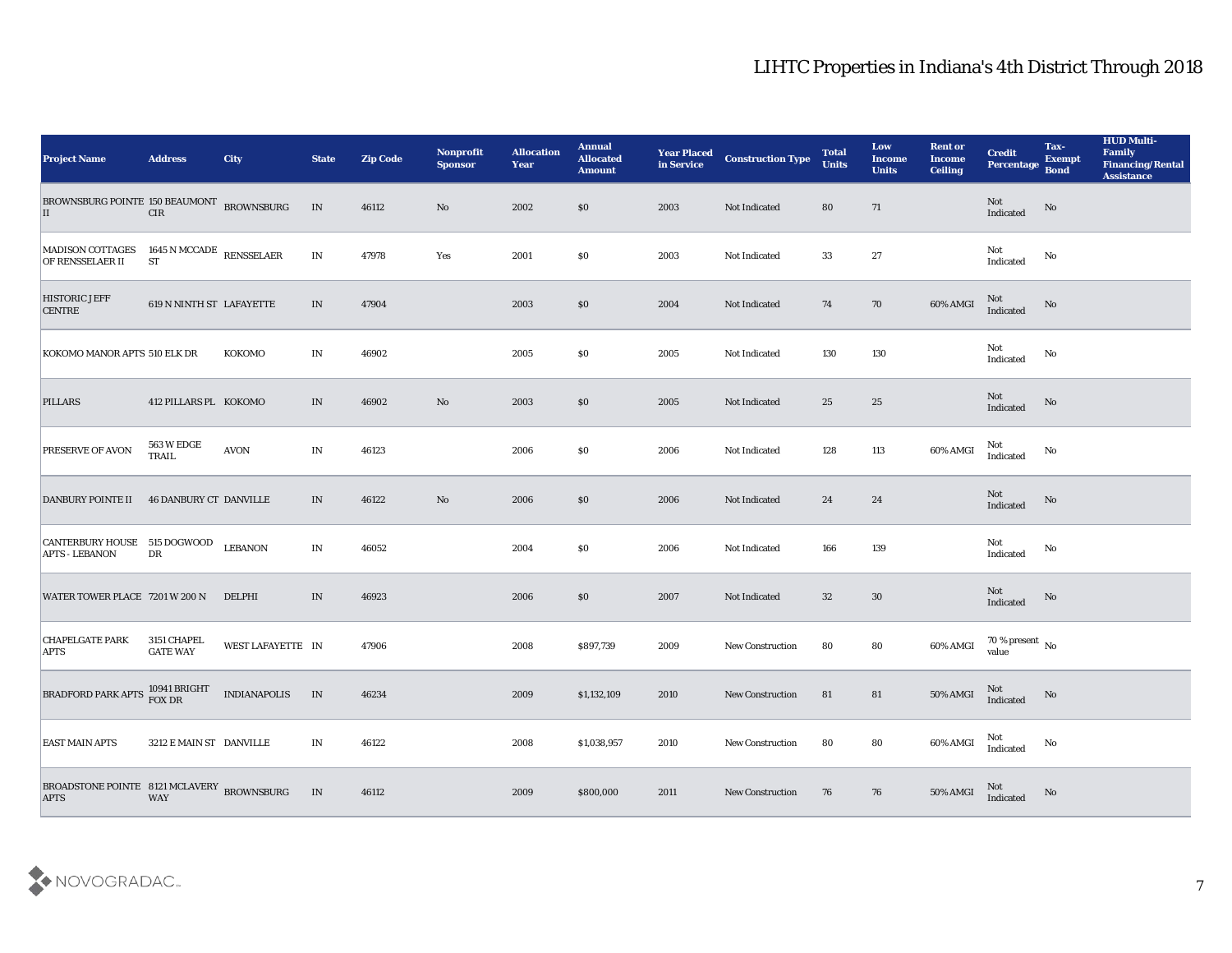| <b>Project Name</b>                                       | <b>Address</b>                        | City                | <b>State</b> | <b>Zip Code</b> | Nonprofit<br><b>Sponsor</b> | <b>Allocation</b><br><b>Year</b> | <b>Annual</b><br><b>Allocated</b><br><b>Amount</b> | <b>Year Placed</b><br>in Service | <b>Construction Type</b> | <b>Total</b><br><b>Units</b> | Low<br><b>Income</b><br><b>Units</b> | <b>Rent or</b><br><b>Income</b><br><b>Ceiling</b> | <b>Credit</b><br>Percentage        | Tax-<br><b>Exempt</b><br><b>Bond</b> | <b>HUD Multi-</b><br>Family<br><b>Financing/Rental</b><br><b>Assistance</b> |
|-----------------------------------------------------------|---------------------------------------|---------------------|--------------|-----------------|-----------------------------|----------------------------------|----------------------------------------------------|----------------------------------|--------------------------|------------------------------|--------------------------------------|---------------------------------------------------|------------------------------------|--------------------------------------|-----------------------------------------------------------------------------|
| BROWNSBURG POINTE 150 BEAUMONT BROWNSBURG<br>$\vert$ II   | $\rm CIR$                             |                     | $\;$ IN      | 46112           | No                          | 2002                             | \$0                                                | 2003                             | Not Indicated            | 80                           | 71                                   |                                                   | Not<br>Indicated                   | No                                   |                                                                             |
| MADISON COTTAGES<br>OF RENSSELAER II                      | 1645 N MCCADE RENSSELAER<br><b>ST</b> |                     | IN           | 47978           | Yes                         | 2001                             | $\$0$                                              | 2003                             | Not Indicated            | 33                           | 27                                   |                                                   | Not<br>Indicated                   | No                                   |                                                                             |
| <b>HISTORIC JEFF</b><br><b>CENTRE</b>                     | 619 N NINTH ST LAFAYETTE              |                     | IN           | 47904           |                             | 2003                             | \$0                                                | 2004                             | Not Indicated            | 74                           | 70                                   | 60% AMGI                                          | Not<br>Indicated                   | No                                   |                                                                             |
| KOKOMO MANOR APTS 510 ELK DR                              |                                       | KOKOMO              | IN           | 46902           |                             | 2005                             | \$0                                                | 2005                             | Not Indicated            | 130                          | 130                                  |                                                   | Not<br>$\operatorname{Indicated}$  | No                                   |                                                                             |
| <b>PILLARS</b>                                            | 412 PILLARS PL KOKOMO                 |                     | IN           | 46902           | No                          | 2003                             | \$0                                                | 2005                             | Not Indicated            | 25                           | 25                                   |                                                   | Not<br>Indicated                   | No                                   |                                                                             |
| <b>PRESERVE OF AVON</b>                                   | <b>563 W EDGE</b><br>TRAIL            | AVON                | IN           | 46123           |                             | 2006                             | $\$0$                                              | 2006                             | Not Indicated            | 128                          | 113                                  | 60% AMGI                                          | Not<br>Indicated                   | No                                   |                                                                             |
| <b>DANBURY POINTE II</b>                                  | <b>46 DANBURY CT DANVILLE</b>         |                     | IN           | 46122           | No                          | 2006                             | \$0                                                | 2006                             | Not Indicated            | 24                           | 24                                   |                                                   | Not<br>Indicated                   | No                                   |                                                                             |
| CANTERBURY HOUSE 515 DOGWOOD<br><b>APTS - LEBANON</b>     | DR                                    | <b>LEBANON</b>      | IN           | 46052           |                             | 2004                             | \$0                                                | 2006                             | Not Indicated            | 166                          | 139                                  |                                                   | Not<br>Indicated                   | No                                   |                                                                             |
| WATER TOWER PLACE 7201 W 200 N                            |                                       | DELPHI              | IN           | 46923           |                             | 2006                             | \$0                                                | 2007                             | Not Indicated            | 32                           | 30                                   |                                                   | Not<br>Indicated                   | No                                   |                                                                             |
| <b>CHAPELGATE PARK</b><br><b>APTS</b>                     | 3151 CHAPEL<br><b>GATE WAY</b>        | WEST LAFAYETTE IN   |              | 47906           |                             | 2008                             | \$897,739                                          | 2009                             | <b>New Construction</b>  | 80                           | 80                                   | 60% AMGI                                          | 70 % present $\,$ No $\,$<br>value |                                      |                                                                             |
| BRADFORD PARK APTS FOX DR                                 | 10941 BRIGHT                          | <b>INDIANAPOLIS</b> | IN           | 46234           |                             | 2009                             | \$1,132,109                                        | 2010                             | <b>New Construction</b>  | 81                           | 81                                   | <b>50% AMGI</b>                                   | Not<br>Indicated                   | No                                   |                                                                             |
| <b>EAST MAIN APTS</b>                                     | 3212 E MAIN ST DANVILLE               |                     | IN           | 46122           |                             | 2008                             | \$1,038,957                                        | 2010                             | New Construction         | 80                           | 80                                   | 60% AMGI                                          | Not<br>Indicated                   | No                                   |                                                                             |
| BROADSTONE POINTE 8121 MCLAVERY BROWNSBURG<br><b>APTS</b> | WAY                                   |                     | IN           | 46112           |                             | 2009                             | \$800,000                                          | 2011                             | New Construction         | 76                           | 76                                   | 50% AMGI                                          | Not<br>Indicated                   | No                                   |                                                                             |

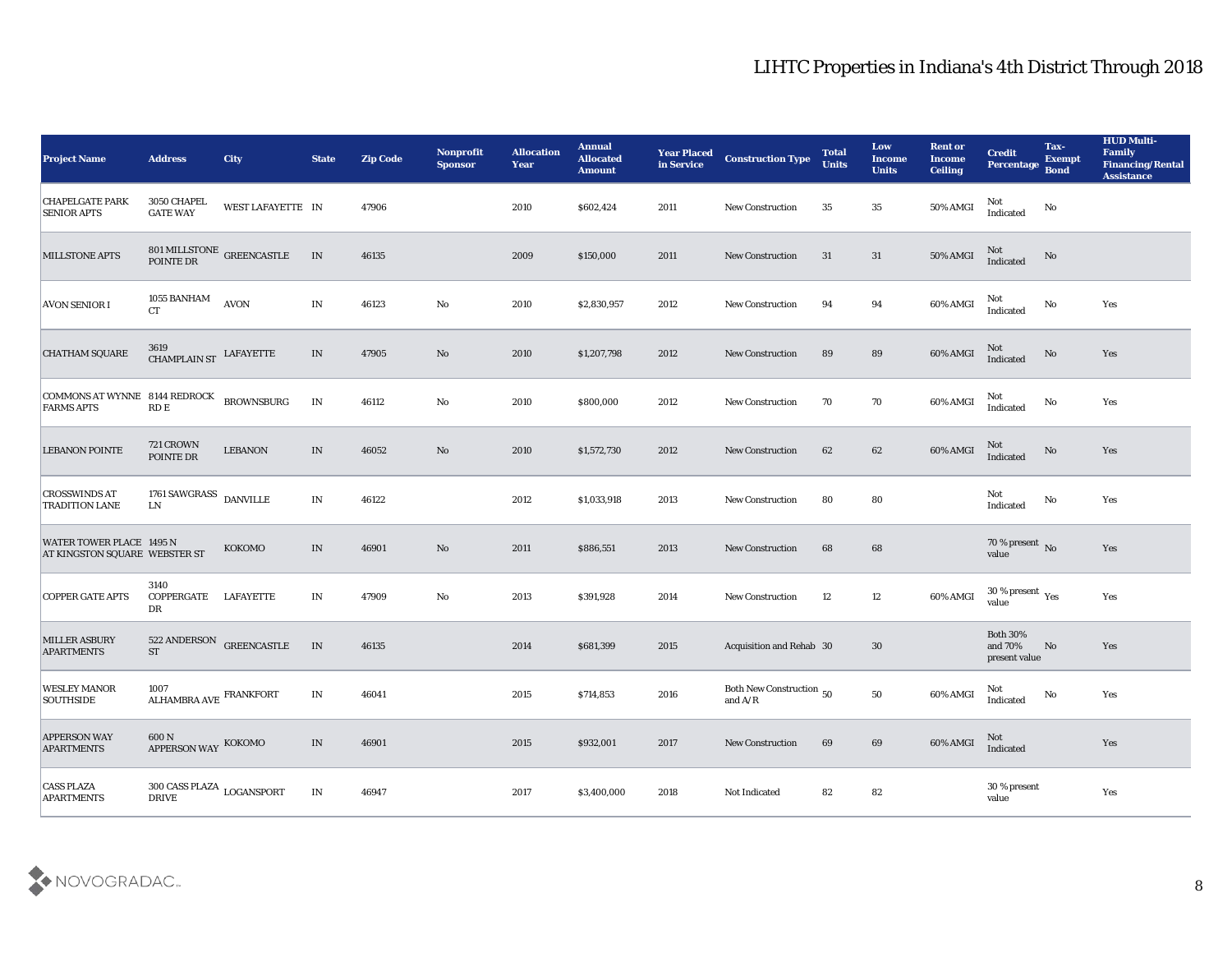| <b>Project Name</b>                                       | <b>Address</b>                                       | City                                                      | <b>State</b>                    | <b>Zip Code</b> | Nonprofit<br><b>Sponsor</b> | <b>Allocation</b><br><b>Year</b> | <b>Annual</b><br><b>Allocated</b><br><b>Amount</b> | <b>Year Placed</b><br>in Service | <b>Construction Type</b>              | <b>Total</b><br><b>Units</b> | Low<br><b>Income</b><br><b>Units</b> | <b>Rent or</b><br><b>Income</b><br><b>Ceiling</b> | <b>Credit</b><br>Percentage Bond            | Tax-<br><b>Exempt</b> | <b>HUD Multi-</b><br>Family<br><b>Financing/Rental</b><br><b>Assistance</b> |
|-----------------------------------------------------------|------------------------------------------------------|-----------------------------------------------------------|---------------------------------|-----------------|-----------------------------|----------------------------------|----------------------------------------------------|----------------------------------|---------------------------------------|------------------------------|--------------------------------------|---------------------------------------------------|---------------------------------------------|-----------------------|-----------------------------------------------------------------------------|
| <b>CHAPELGATE PARK</b><br><b>SENIOR APTS</b>              | 3050 CHAPEL<br><b>GATE WAY</b>                       | WEST LAFAYETTE IN                                         |                                 | 47906           |                             | 2010                             | \$602,424                                          | 2011                             | <b>New Construction</b>               | 35                           | 35                                   | 50% AMGI                                          | Not<br>Indicated                            | No                    |                                                                             |
| <b>MILLSTONE APTS</b>                                     |                                                      | $801\,\rm MLLSTONE$ ${\tt GREENCASTLE}$ ${\tt PONTE\,DR}$ | IN                              | 46135           |                             | 2009                             | \$150,000                                          | 2011                             | <b>New Construction</b>               | 31                           | 31                                   | 50% AMGI                                          | Not<br>Indicated                            | No                    |                                                                             |
| <b>AVON SENIOR I</b>                                      | 1055 BANHAM<br><b>CT</b>                             | <b>AVON</b>                                               | IN                              | 46123           | No                          | 2010                             | \$2,830,957                                        | 2012                             | <b>New Construction</b>               | 94                           | 94                                   | 60% AMGI                                          | Not<br>Indicated                            | No                    | Yes                                                                         |
| <b>CHATHAM SQUARE</b>                                     | $3619$ CHAMPLAIN ST LAFAYETTE                        |                                                           | $\ensuremath{\text{IN}}\xspace$ | 47905           | No                          | 2010                             | \$1,207,798                                        | 2012                             | <b>New Construction</b>               | 89                           | 89                                   | 60% AMGI                                          | Not<br>Indicated                            | No                    | Yes                                                                         |
| <b>COMMONS AT WYNNE 8144 REDROCK</b><br><b>FARMS APTS</b> | $\mathop{\mathrm{RD}}\nolimits\mathop{\mathrm{E}}$   | <b>BROWNSBURG</b>                                         | IN                              | 46112           | No                          | 2010                             | \$800,000                                          | 2012                             | <b>New Construction</b>               | 70                           | 70                                   | 60% AMGI                                          | Not<br>Indicated                            | No                    | Yes                                                                         |
| <b>LEBANON POINTE</b>                                     | 721 CROWN<br>POINTE DR                               | <b>LEBANON</b>                                            | IN                              | 46052           | No                          | 2010                             | \$1,572,730                                        | 2012                             | <b>New Construction</b>               | 62                           | 62                                   | 60% AMGI                                          | Not<br>Indicated                            | No                    | Yes                                                                         |
| <b>CROSSWINDS AT</b><br><b>TRADITION LANE</b>             | 1761 SAWGRASS $\,$ DANVILLE<br><b>LN</b>             |                                                           | IN                              | 46122           |                             | 2012                             | \$1,033,918                                        | 2013                             | <b>New Construction</b>               | 80                           | 80                                   |                                                   | Not<br>Indicated                            | No                    | Yes                                                                         |
| WATER TOWER PLACE 1495 N<br>AT KINGSTON SQUARE WEBSTER ST |                                                      | KOKOMO                                                    | IN                              | 46901           | No                          | 2011                             | \$886,551                                          | 2013                             | <b>New Construction</b>               | 68                           | 68                                   |                                                   | $70\,\%$ present $\,$ No value              |                       | Yes                                                                         |
| <b>COPPER GATE APTS</b>                                   | 3140<br>COPPERGATE<br>DR                             | LAFAYETTE                                                 | IN                              | 47909           | No                          | 2013                             | \$391,928                                          | 2014                             | <b>New Construction</b>               | 12                           | 12                                   | 60% AMGI                                          | $30\,\%$ present $\,$ Yes value             |                       | Yes                                                                         |
| <b>MILLER ASBURY</b><br><b>APARTMENTS</b>                 | 522 ANDERSON<br><b>ST</b>                            | <b>GREENCASTLE</b>                                        | IN                              | 46135           |                             | 2014                             | \$681,399                                          | 2015                             | Acquisition and Rehab 30              |                              | 30                                   |                                                   | <b>Both 30%</b><br>and 70%<br>present value | No                    | Yes                                                                         |
| <b>WESLEY MANOR</b><br><b>SOUTHSIDE</b>                   | 1007<br>$\mbox{ALHAMBRA}$ AVE $\mbox{FRANKFORT}$     |                                                           | $\mathbf{IN}$                   | 46041           |                             | 2015                             | \$714,853                                          | 2016                             | Both New Construction 50<br>and $A/R$ |                              | 50                                   | 60% AMGI                                          | Not<br>Indicated                            | No                    | Yes                                                                         |
| <b>APPERSON WAY</b><br><b>APARTMENTS</b>                  | $600\,\mathrm{N}$<br>APPERSON WAY KOKOMO             |                                                           | $\ensuremath{\text{IN}}\xspace$ | 46901           |                             | 2015                             | \$932,001                                          | 2017                             | <b>New Construction</b>               | 69                           | 69                                   | 60% AMGI                                          | Not<br>Indicated                            |                       | Yes                                                                         |
| <b>CASS PLAZA</b><br><b>APARTMENTS</b>                    | $300$ CASS PLAZA $_{\rm LOGANSPORT}$<br><b>DRIVE</b> |                                                           | $\ensuremath{\text{IN}}$        | 46947           |                             | 2017                             | \$3,400,000                                        | 2018                             | Not Indicated                         | 82                           | ${\bf 82}$                           |                                                   | 30 % present<br>value                       |                       | Yes                                                                         |